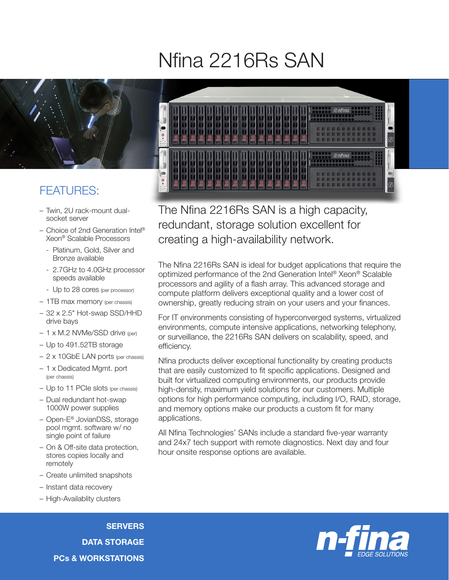## Nfina 2216Rs SAN



## FEATURES:

- Twin, 2U rack-mount dualsocket server
- Choice of 2nd Generation Intel® Xeon® Scalable Processors
	- Platinum, Gold, Silver and Bronze available
	- 2.7GHz to 4.0GHz processor speeds available
- Up to 28 cores (per processor)
- 1TB max memory (per chassis)
- 32 x 2.5" Hot-swap SSD/HHD drive bays
- 1 x M.2 NVMe/SSD drive (per)
- Up to 491.52TB storage
- 2 x 10GbE LAN ports (per chassis)
- 1 x Dedicated Mgmt. port (per chassis)
- Up to 11 PCIe slots (per chassis)
- Dual redundant hot-swap 1000W power supplies
- Open-E® JovianDSS, storage pool mgmt. software w/ no single point of failure
- On & Off-site data protection, stores copies locally and remotely
- Create unlimited snapshots
- Instant data recovery
- High-Availablity clusters

**SERVERS** DATA STORAGE PCs & WORKSTATIONS



The Nfina 2216Rs SAN is a high capacity, redundant, storage solution excellent for creating a high-availability network.

The Nfina 2216Rs SAN is ideal for budget applications that require the optimized performance of the 2nd Generation Intel® Xeon® Scalable processors and agility of a flash array. This advanced storage and compute platform delivers exceptional quality and a lower cost of ownership, greatly reducing strain on your users and your finances.

For IT environments consisting of hyperconverged systems, virtualized environments, compute intensive applications, networking telephony, or surveillance, the 2216Rs SAN delivers on scalability, speed, and efficiency.

Nfina products deliver exceptional functionality by creating products that are easily customized to fit specific applications. Designed and built for virtualized computing environments, our products provide high-density, maximum yield solutions for our customers. Multiple options for high performance computing, including I/O, RAID, storage, and memory options make our products a custom fit for many applications.

All Nfina Technologies' SANs include a standard five-year warranty and 24x7 tech support with remote diagnostics. Next day and four hour onsite response options are available.

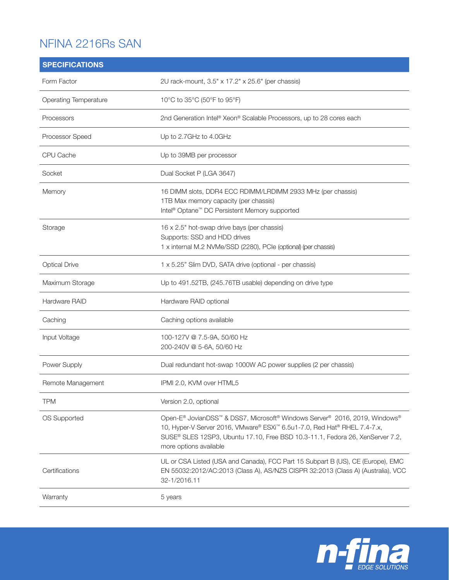## NFINA 2216Rs SAN

| <b>SPECIFICATIONS</b>        |                                                                                                                                                                                                                                                                   |
|------------------------------|-------------------------------------------------------------------------------------------------------------------------------------------------------------------------------------------------------------------------------------------------------------------|
| Form Factor                  | 2U rack-mount, 3.5" x 17.2" x 25.6" (per chassis)                                                                                                                                                                                                                 |
| <b>Operating Temperature</b> | 10°C to 35°C (50°F to 95°F)                                                                                                                                                                                                                                       |
| Processors                   | 2nd Generation Intel® Xeon® Scalable Processors, up to 28 cores each                                                                                                                                                                                              |
| Processor Speed              | Up to 2.7GHz to 4.0GHz                                                                                                                                                                                                                                            |
| CPU Cache                    | Up to 39MB per processor                                                                                                                                                                                                                                          |
| Socket                       | Dual Socket P (LGA 3647)                                                                                                                                                                                                                                          |
| Memory                       | 16 DIMM slots, DDR4 ECC RDIMM/LRDIMM 2933 MHz (per chassis)<br>1TB Max memory capacity (per chassis)<br>Intel <sup>®</sup> Optane <sup>™</sup> DC Persistent Memory supported                                                                                     |
| Storage                      | 16 x 2.5" hot-swap drive bays (per chassis)<br>Supports: SSD and HDD drives<br>1 x internal M.2 NVMe/SSD (2280), PCIe (optional) (per chassis)                                                                                                                    |
| <b>Optical Drive</b>         | 1 x 5.25" Slim DVD, SATA drive (optional - per chassis)                                                                                                                                                                                                           |
| Maximum Storage              | Up to 491.52TB, (245.76TB usable) depending on drive type                                                                                                                                                                                                         |
| Hardware RAID                | Hardware RAID optional                                                                                                                                                                                                                                            |
| Caching                      | Caching options available                                                                                                                                                                                                                                         |
| Input Voltage                | 100-127V @ 7.5-9A, 50/60 Hz<br>200-240V @ 5-6A, 50/60 Hz                                                                                                                                                                                                          |
| Power Supply                 | Dual redundant hot-swap 1000W AC power supplies (2 per chassis)                                                                                                                                                                                                   |
| Remote Management            | IPMI 2.0, KVM over HTML5                                                                                                                                                                                                                                          |
| <b>TPM</b>                   | Version 2.0, optional                                                                                                                                                                                                                                             |
| OS Supported                 | Open-E® JovianDSS™ & DSS7, Microsoft® Windows Server® 2016, 2019, Windows®<br>10, Hyper-V Server 2016, VMware® ESXi™ 6.5u1-7.0, Red Hat® RHEL 7.4-7.x,<br>SUSE® SLES 12SP3, Ubuntu 17.10, Free BSD 10.3-11.1, Fedora 26, XenServer 7.2,<br>more options available |
| Certifications               | UL or CSA Listed (USA and Canada), FCC Part 15 Subpart B (US), CE (Europe), EMC<br>EN 55032:2012/AC:2013 (Class A), AS/NZS CISPR 32:2013 (Class A) (Australia), VCC<br>32-1/2016.11                                                                               |
| Warranty                     | 5 years                                                                                                                                                                                                                                                           |